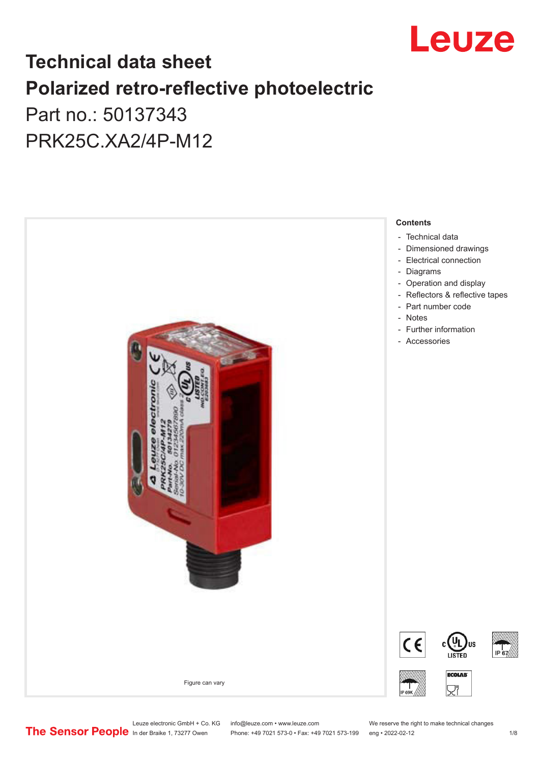

# **Technical data sheet Polarized retro-reflective photoelectric**  Part no.: 50137343

PRK25C.XA2/4P-M12



Leuze electronic GmbH + Co. KG info@leuze.com • www.leuze.com We reserve the right to make technical changes<br>
The Sensor People in der Braike 1, 73277 Owen Phone: +49 7021 573-0 • Fax: +49 7021 573-199 eng • 2022-02-12

Phone: +49 7021 573-0 • Fax: +49 7021 573-199 eng • 2022-02-12 12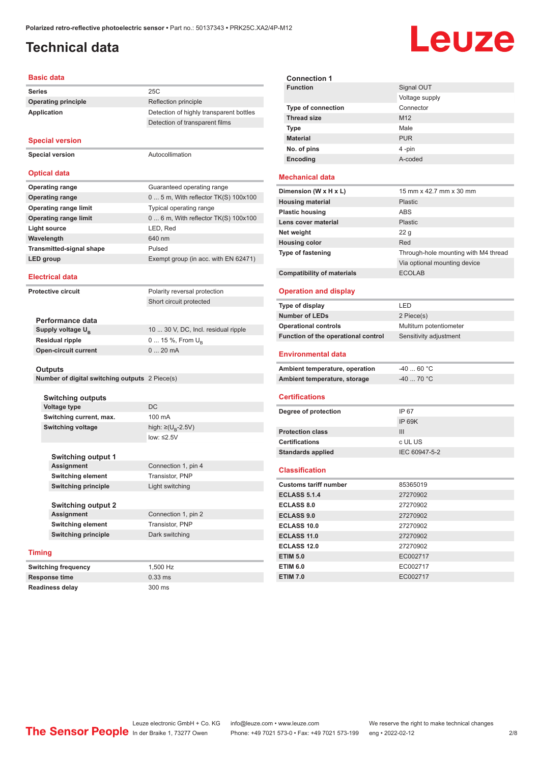## <span id="page-1-0"></span>**Technical data**

# Leuze

### **Basic data**

| <b>Peolo</b>              |                                                |                                         |  |
|---------------------------|------------------------------------------------|-----------------------------------------|--|
| Series                    |                                                | 25C                                     |  |
|                           | <b>Operating principle</b>                     | Reflection principle                    |  |
|                           | Application                                    | Detection of highly transparent bottles |  |
|                           |                                                | Detection of transparent films          |  |
|                           |                                                |                                         |  |
|                           | <b>Special version</b>                         |                                         |  |
|                           | <b>Special version</b>                         | Autocollimation                         |  |
|                           |                                                |                                         |  |
|                           | <b>Optical data</b>                            |                                         |  |
|                           | <b>Operating range</b>                         | Guaranteed operating range              |  |
|                           | <b>Operating range</b>                         | $05$ m, With reflector TK(S) 100x100    |  |
|                           | <b>Operating range limit</b>                   | Typical operating range                 |  |
|                           | <b>Operating range limit</b>                   | $06$ m, With reflector TK(S) 100x100    |  |
|                           | <b>Light source</b>                            | LED, Red                                |  |
|                           | Wavelength                                     | 640 nm                                  |  |
|                           | Transmitted-signal shape                       | Pulsed                                  |  |
|                           | <b>LED</b> group                               | Exempt group (in acc. with EN 62471)    |  |
|                           |                                                |                                         |  |
|                           | <b>Electrical data</b>                         |                                         |  |
| <b>Protective circuit</b> |                                                | Polarity reversal protection            |  |
|                           |                                                | Short circuit protected                 |  |
|                           |                                                |                                         |  |
|                           | Performance data                               |                                         |  |
|                           | Supply voltage U <sub>B</sub>                  | 10  30 V, DC, Incl. residual ripple     |  |
|                           | <b>Residual ripple</b>                         | 0  15 %, From $U_{\rm B}$               |  |
|                           | <b>Open-circuit current</b>                    | 020mA                                   |  |
|                           |                                                |                                         |  |
|                           | Outputs                                        |                                         |  |
|                           | Number of digital switching outputs 2 Piece(s) |                                         |  |
|                           | <b>Switching outputs</b>                       |                                         |  |
|                           | <b>Voltage type</b>                            | <b>DC</b>                               |  |
|                           | Switching current, max.                        | 100 mA                                  |  |
|                           | <b>Switching voltage</b>                       | high: ≥(U <sub>n</sub> -2.5V)           |  |
|                           |                                                | low: $\leq 2.5V$                        |  |
|                           |                                                |                                         |  |
|                           | <b>Switching output 1</b>                      |                                         |  |
|                           | Assignment                                     | Connection 1, pin 4                     |  |
|                           | <b>Switching element</b>                       | Transistor, PNP                         |  |
|                           | <b>Switching principle</b>                     | Light switching                         |  |
|                           |                                                |                                         |  |
|                           | Switching output 2                             |                                         |  |
|                           | Assignment                                     | Connection 1, pin 2                     |  |

| Switching output 2         |                     |
|----------------------------|---------------------|
| <b>Assignment</b>          | Connection 1, pin 2 |
| <b>Switching element</b>   | Transistor, PNP     |
| <b>Switching principle</b> | Dark switching      |
| q                          |                     |
|                            |                     |

### **Timing**

**Switching frequency** 1,500 Hz **Response time** 0.33 ms **Readiness delay** 300 ms

| <b>Connection 1</b>       |                 |
|---------------------------|-----------------|
| <b>Function</b>           | Signal OUT      |
|                           | Voltage supply  |
| <b>Type of connection</b> | Connector       |
| <b>Thread size</b>        | M <sub>12</sub> |
| <b>Type</b>               | Male            |
| <b>Material</b>           | <b>PUR</b>      |
| No. of pins               | 4-pin           |
| Encoding                  | A-coded         |

### **Mechanical data**

| Dimension (W x H x L)             | 15 mm x 42.7 mm x 30 mm              |
|-----------------------------------|--------------------------------------|
| <b>Housing material</b>           | <b>Plastic</b>                       |
| <b>Plastic housing</b>            | ABS                                  |
| Lens cover material               | <b>Plastic</b>                       |
| Net weight                        | 22 <sub>g</sub>                      |
| <b>Housing color</b>              | Red                                  |
| <b>Type of fastening</b>          | Through-hole mounting with M4 thread |
|                                   | Via optional mounting device         |
| <b>Compatibility of materials</b> | <b>ECOLAB</b>                        |

#### **Operation and display**

| Type of display                     | I FD                    |
|-------------------------------------|-------------------------|
| <b>Number of LEDs</b>               | 2 Piece(s)              |
| <b>Operational controls</b>         | Multiturn potentiometer |
| Function of the operational control | Sensitivity adjustment  |
| <b>Environmental data</b>           |                         |
| Ambient temperature, operation      | $-4060 °C$              |
| Ambient temperature, storage        | $-40$ 70 °C             |
|                                     |                         |

#### **Certifications**

| Degree of protection     | IP 67         |
|--------------------------|---------------|
|                          | IP 69K        |
| <b>Protection class</b>  | Ш             |
| <b>Certifications</b>    | c UL US       |
| <b>Standards applied</b> | IEC 60947-5-2 |
|                          |               |

#### **Classification**

| <b>Customs tariff number</b> | 85365019 |
|------------------------------|----------|
| <b>ECLASS 5.1.4</b>          | 27270902 |
| <b>ECLASS 8.0</b>            | 27270902 |
| <b>ECLASS 9.0</b>            | 27270902 |
| ECLASS 10.0                  | 27270902 |
| <b>ECLASS 11.0</b>           | 27270902 |
| ECLASS 12.0                  | 27270902 |
| <b>ETIM 5.0</b>              | EC002717 |
| <b>ETIM 6.0</b>              | EC002717 |
| <b>ETIM 7.0</b>              | EC002717 |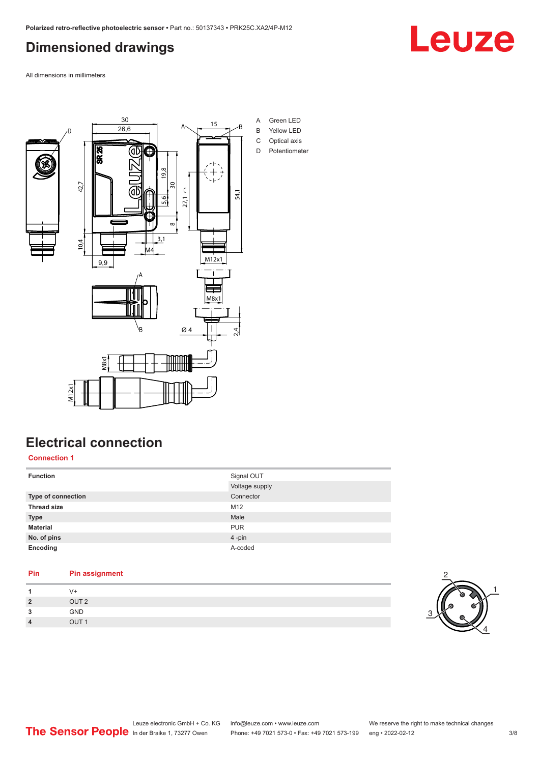# <span id="page-2-0"></span>**Dimensioned drawings**

Leuze

All dimensions in millimeters



# **Electrical connection**

**Connection 1**

| <b>Function</b>    | Signal OUT     |
|--------------------|----------------|
|                    | Voltage supply |
| Type of connection | Connector      |
| <b>Thread size</b> | M12            |
| <b>Type</b>        | Male           |
| <b>Material</b>    | <b>PUR</b>     |
| No. of pins        | 4-pin          |
| Encoding           | A-coded        |
|                    |                |

### **Pin Pin assignment** 1 V+<br>2 OU **2** OUT 2 **3** GND



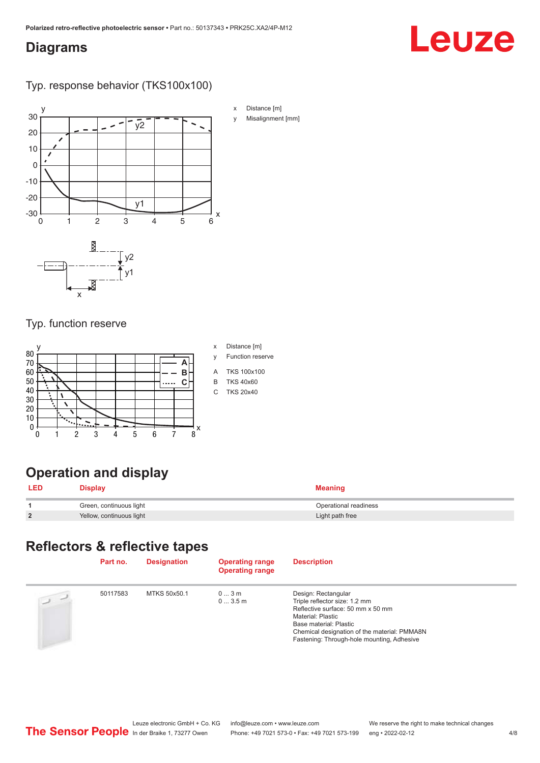## <span id="page-3-0"></span>**Diagrams**

# Leuze

Typ. response behavior (TKS100x100)



## Typ. function reserve



## y Function reserve

- 
- A TKS 100x100
- 
- 

# **Operation and display**

|                | )isplay                  | Meaninc               |
|----------------|--------------------------|-----------------------|
|                | Green, continuous light  | Operational readiness |
| $\overline{2}$ | Yellow, continuous light | Light path free       |

# **Reflectors & reflective tapes**

|                | Part no. | <b>Designation</b> | <b>Operating range</b><br><b>Operating range</b> | <b>Description</b>                                                                                                                                                                                                                     |
|----------------|----------|--------------------|--------------------------------------------------|----------------------------------------------------------------------------------------------------------------------------------------------------------------------------------------------------------------------------------------|
| $\overline{u}$ | 50117583 | MTKS 50x50.1       | 03m<br>03.5m                                     | Design: Rectangular<br>Triple reflector size: 1.2 mm<br>Reflective surface: 50 mm x 50 mm<br>Material: Plastic<br>Base material: Plastic<br>Chemical designation of the material: PMMA8N<br>Fastening: Through-hole mounting, Adhesive |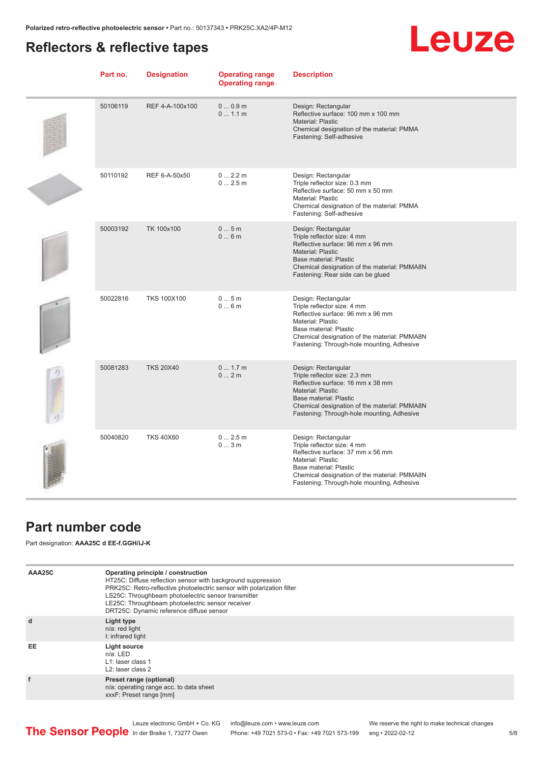# <span id="page-4-0"></span>**Reflectors & reflective tapes**

# Leuze

|               | Part no. | <b>Designation</b> | <b>Operating range</b><br><b>Operating range</b> | <b>Description</b>                                                                                                                                                                                                                            |
|---------------|----------|--------------------|--------------------------------------------------|-----------------------------------------------------------------------------------------------------------------------------------------------------------------------------------------------------------------------------------------------|
|               | 50106119 | REF 4-A-100x100    | 00.9m<br>01.1 m                                  | Design: Rectangular<br>Reflective surface: 100 mm x 100 mm<br>Material: Plastic<br>Chemical designation of the material: PMMA<br>Fastening: Self-adhesive                                                                                     |
|               | 50110192 | REF 6-A-50x50      | 02.2m<br>02.5m                                   | Design: Rectangular<br>Triple reflector size: 0.3 mm<br>Reflective surface: 50 mm x 50 mm<br>Material: Plastic<br>Chemical designation of the material: PMMA<br>Fastening: Self-adhesive                                                      |
|               | 50003192 | TK 100x100         | 05m<br>06m                                       | Design: Rectangular<br>Triple reflector size: 4 mm<br>Reflective surface: 96 mm x 96 mm<br>Material: Plastic<br><b>Base material: Plastic</b><br>Chemical designation of the material: PMMA8N<br>Fastening: Rear side can be glued            |
|               | 50022816 | <b>TKS 100X100</b> | 05m<br>06m                                       | Design: Rectangular<br>Triple reflector size: 4 mm<br>Reflective surface: 96 mm x 96 mm<br>Material: Plastic<br>Base material: Plastic<br>Chemical designation of the material: PMMA8N<br>Fastening: Through-hole mounting, Adhesive          |
| $\frac{1}{2}$ | 50081283 | <b>TKS 20X40</b>   | 0 1.7 m<br>02m                                   | Design: Rectangular<br>Triple reflector size: 2.3 mm<br>Reflective surface: 16 mm x 38 mm<br><b>Material: Plastic</b><br>Base material: Plastic<br>Chemical designation of the material: PMMA8N<br>Fastening: Through-hole mounting, Adhesive |
|               | 50040820 | <b>TKS 40X60</b>   | 02.5m<br>03m                                     | Design: Rectangular<br>Triple reflector size: 4 mm<br>Reflective surface: 37 mm x 56 mm<br>Material: Plastic<br>Base material: Plastic<br>Chemical designation of the material: PMMA8N<br>Fastening: Through-hole mounting, Adhesive          |

# **Part number code**

Part designation: **AAA25C d EE-f.GGH/iJ-K**

| AAA25C | Operating principle / construction<br>HT25C: Diffuse reflection sensor with background suppression<br>PRK25C: Retro-reflective photoelectric sensor with polarization filter<br>LS25C: Throughbeam photoelectric sensor transmitter<br>LE25C: Throughbeam photoelectric sensor receiver<br>DRT25C: Dynamic reference diffuse sensor |
|--------|-------------------------------------------------------------------------------------------------------------------------------------------------------------------------------------------------------------------------------------------------------------------------------------------------------------------------------------|
| d      | Light type<br>n/a: red light<br>I: infrared light                                                                                                                                                                                                                                                                                   |
| EE     | Light source<br>$n/a$ : LED<br>L1: laser class 1<br>L <sub>2</sub> : laser class 2                                                                                                                                                                                                                                                  |
| f      | Preset range (optional)<br>n/a: operating range acc. to data sheet<br>xxxF: Preset range [mm]                                                                                                                                                                                                                                       |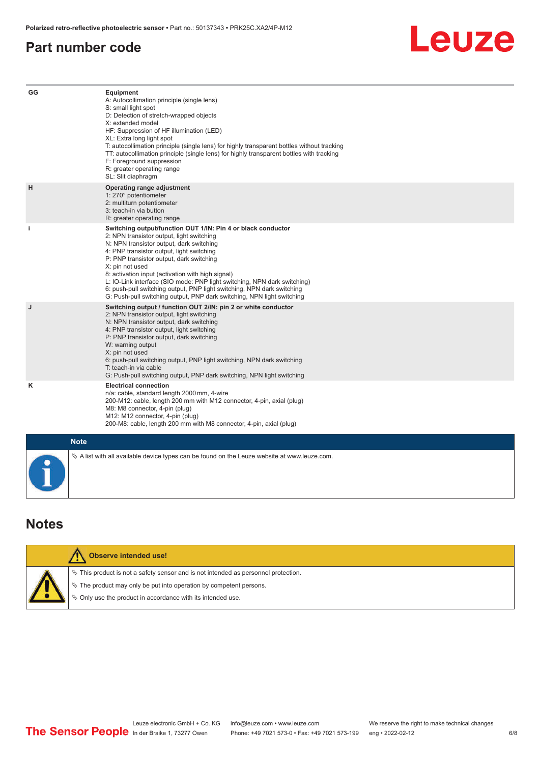## <span id="page-5-0"></span>**Part number code**

# Leuze

| GG        | <b>Equipment</b><br>A: Autocollimation principle (single lens)<br>S: small light spot<br>D: Detection of stretch-wrapped objects<br>X: extended model<br>HF: Suppression of HF illumination (LED)<br>XL: Extra long light spot<br>T: autocollimation principle (single lens) for highly transparent bottles without tracking<br>TT: autocollimation principle (single lens) for highly transparent bottles with tracking<br>F: Foreground suppression<br>R: greater operating range<br>SL: Slit diaphragm                                              |
|-----------|--------------------------------------------------------------------------------------------------------------------------------------------------------------------------------------------------------------------------------------------------------------------------------------------------------------------------------------------------------------------------------------------------------------------------------------------------------------------------------------------------------------------------------------------------------|
| H         | Operating range adjustment<br>1: 270° potentiometer<br>2: multiturn potentiometer<br>3: teach-in via button<br>R: greater operating range                                                                                                                                                                                                                                                                                                                                                                                                              |
| j.        | Switching output/function OUT 1/IN: Pin 4 or black conductor<br>2: NPN transistor output, light switching<br>N: NPN transistor output, dark switching<br>4: PNP transistor output, light switching<br>P: PNP transistor output, dark switching<br>X: pin not used<br>8: activation input (activation with high signal)<br>L: IO-Link interface (SIO mode: PNP light switching, NPN dark switching)<br>6: push-pull switching output, PNP light switching, NPN dark switching<br>G: Push-pull switching output, PNP dark switching, NPN light switching |
| J         | Switching output / function OUT 2/IN: pin 2 or white conductor<br>2: NPN transistor output, light switching<br>N: NPN transistor output, dark switching<br>4: PNP transistor output, light switching<br>P: PNP transistor output, dark switching<br>W: warning output<br>X: pin not used<br>6: push-pull switching output, PNP light switching, NPN dark switching<br>T: teach-in via cable<br>G: Push-pull switching output, PNP dark switching, NPN light switching                                                                                  |
| Κ         | <b>Electrical connection</b><br>n/a: cable, standard length 2000 mm, 4-wire<br>200-M12: cable, length 200 mm with M12 connector, 4-pin, axial (plug)<br>M8: M8 connector, 4-pin (plug)<br>M12: M12 connector, 4-pin (plug)<br>200-M8: cable, length 200 mm with M8 connector, 4-pin, axial (plug)                                                                                                                                                                                                                                                      |
|           | <b>Note</b>                                                                                                                                                                                                                                                                                                                                                                                                                                                                                                                                            |
| $\bullet$ | $\&$ A list with all available device types can be found on the Leuze website at www.leuze.com.                                                                                                                                                                                                                                                                                                                                                                                                                                                        |

# **Notes**

| <b>Observe intended use!</b>                                                                                                                                                                                                  |
|-------------------------------------------------------------------------------------------------------------------------------------------------------------------------------------------------------------------------------|
| $\%$ This product is not a safety sensor and is not intended as personnel protection.<br>$\%$ The product may only be put into operation by competent persons.<br>♦ Only use the product in accordance with its intended use. |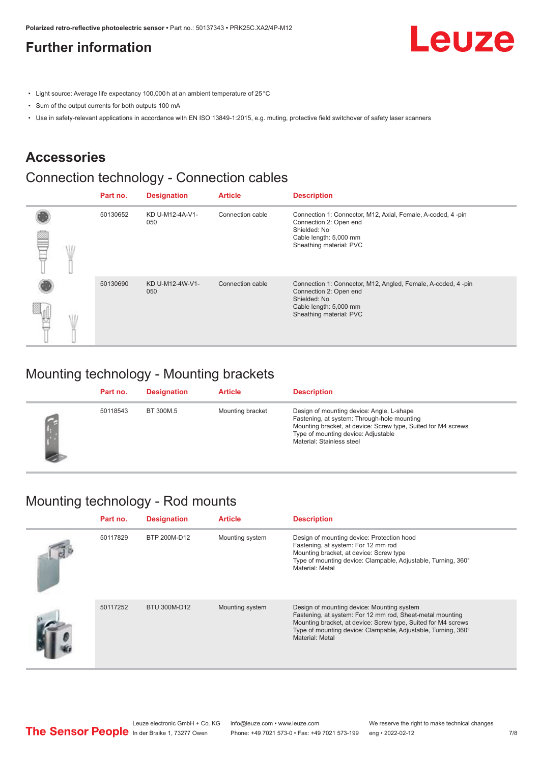# <span id="page-6-0"></span>**Further information**

Leuze

- Light source: Average life expectancy 100,000 h at an ambient temperature of 25 °C
- Sum of the output currents for both outputs 100 mA
- Use in safety-relevant applications in accordance with EN ISO 13849-1:2015, e.g. muting, protective field switchover of safety laser scanners

## **Accessories**

# Connection technology - Connection cables

|   | Part no. | <b>Designation</b>     | <b>Article</b>   | <b>Description</b>                                                                                                                                          |
|---|----------|------------------------|------------------|-------------------------------------------------------------------------------------------------------------------------------------------------------------|
| œ | 50130652 | KD U-M12-4A-V1-<br>050 | Connection cable | Connection 1: Connector, M12, Axial, Female, A-coded, 4-pin<br>Connection 2: Open end<br>Shielded: No<br>Cable length: 5,000 mm<br>Sheathing material: PVC  |
|   | 50130690 | KD U-M12-4W-V1-<br>050 | Connection cable | Connection 1: Connector, M12, Angled, Female, A-coded, 4-pin<br>Connection 2: Open end<br>Shielded: No<br>Cable length: 5,000 mm<br>Sheathing material: PVC |

## Mounting technology - Mounting brackets

| Part no. | <b>Designation</b> | <b>Article</b>   | <b>Description</b>                                                                                                                                                                                                            |
|----------|--------------------|------------------|-------------------------------------------------------------------------------------------------------------------------------------------------------------------------------------------------------------------------------|
| 50118543 | BT 300M.5          | Mounting bracket | Design of mounting device: Angle, L-shape<br>Fastening, at system: Through-hole mounting<br>Mounting bracket, at device: Screw type, Suited for M4 screws<br>Type of mounting device: Adjustable<br>Material: Stainless steel |

# Mounting technology - Rod mounts

| Part no. | <b>Designation</b> | <b>Article</b>  | <b>Description</b>                                                                                                                                                                                                                                           |
|----------|--------------------|-----------------|--------------------------------------------------------------------------------------------------------------------------------------------------------------------------------------------------------------------------------------------------------------|
| 50117829 | BTP 200M-D12       | Mounting system | Design of mounting device: Protection hood<br>Fastening, at system: For 12 mm rod<br>Mounting bracket, at device: Screw type<br>Type of mounting device: Clampable, Adjustable, Turning, 360°<br>Material: Metal                                             |
| 50117252 | BTU 300M-D12       | Mounting system | Design of mounting device: Mounting system<br>Fastening, at system: For 12 mm rod, Sheet-metal mounting<br>Mounting bracket, at device: Screw type, Suited for M4 screws<br>Type of mounting device: Clampable, Adjustable, Turning, 360°<br>Material: Metal |